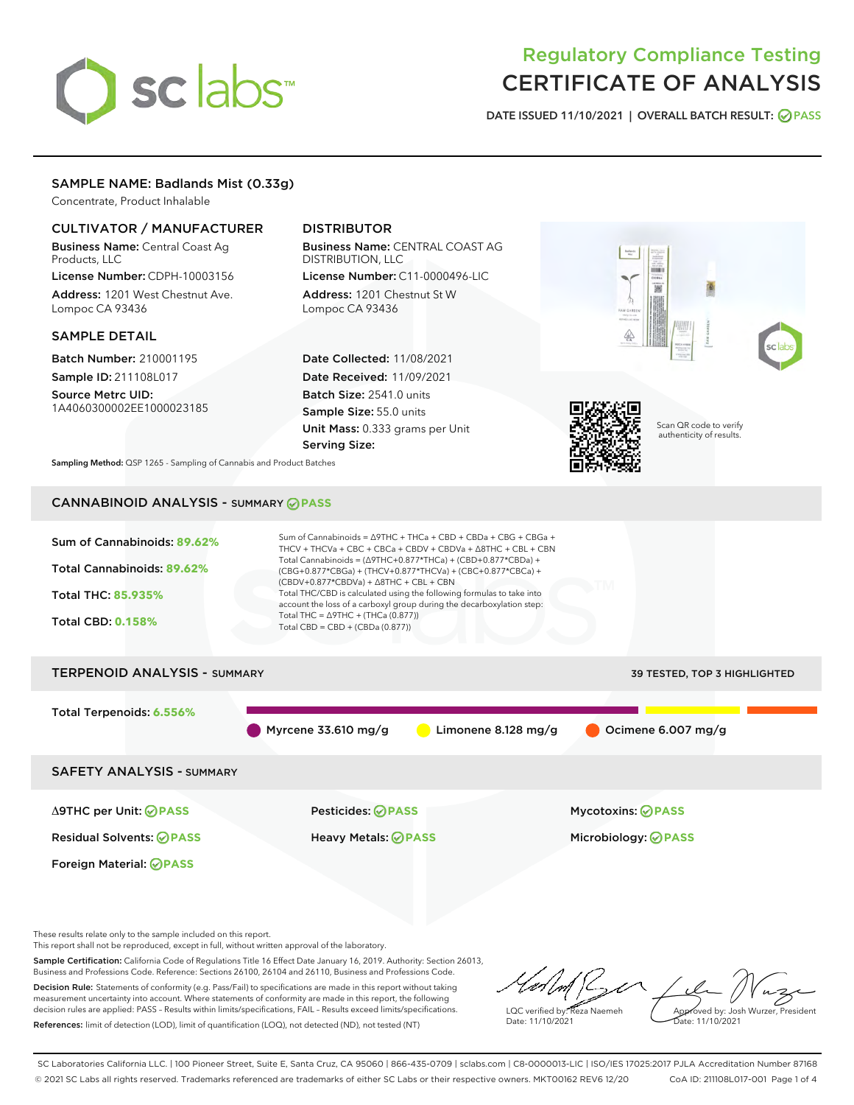# sclabs

# Regulatory Compliance Testing CERTIFICATE OF ANALYSIS

DATE ISSUED 11/10/2021 | OVERALL BATCH RESULT: @ PASS

# SAMPLE NAME: Badlands Mist (0.33g)

Concentrate, Product Inhalable

# CULTIVATOR / MANUFACTURER

Business Name: Central Coast Ag Products, LLC

License Number: CDPH-10003156 Address: 1201 West Chestnut Ave. Lompoc CA 93436

#### SAMPLE DETAIL

Batch Number: 210001195 Sample ID: 211108L017

Source Metrc UID: 1A4060300002EE1000023185

# DISTRIBUTOR

Business Name: CENTRAL COAST AG DISTRIBUTION, LLC License Number: C11-0000496-LIC

Address: 1201 Chestnut St W Lompoc CA 93436

Date Collected: 11/08/2021 Date Received: 11/09/2021 Batch Size: 2541.0 units Sample Size: 55.0 units Unit Mass: 0.333 grams per Unit Serving Size:



Scan QR code to verify authenticity of results.

Sampling Method: QSP 1265 - Sampling of Cannabis and Product Batches

# CANNABINOID ANALYSIS - SUMMARY **PASS**



These results relate only to the sample included on this report.

This report shall not be reproduced, except in full, without written approval of the laboratory.

Sample Certification: California Code of Regulations Title 16 Effect Date January 16, 2019. Authority: Section 26013, Business and Professions Code. Reference: Sections 26100, 26104 and 26110, Business and Professions Code. Decision Rule: Statements of conformity (e.g. Pass/Fail) to specifications are made in this report without taking

measurement uncertainty into account. Where statements of conformity are made in this report, the following decision rules are applied: PASS – Results within limits/specifications, FAIL – Results exceed limits/specifications. References: limit of detection (LOD), limit of quantification (LOQ), not detected (ND), not tested (NT)

LQC verified by: Reza Naemeh Date: 11/10/2021 Approved by: Josh Wurzer, President Date: 11/10/2021

SC Laboratories California LLC. | 100 Pioneer Street, Suite E, Santa Cruz, CA 95060 | 866-435-0709 | sclabs.com | C8-0000013-LIC | ISO/IES 17025:2017 PJLA Accreditation Number 87168 © 2021 SC Labs all rights reserved. Trademarks referenced are trademarks of either SC Labs or their respective owners. MKT00162 REV6 12/20 CoA ID: 211108L017-001 Page 1 of 4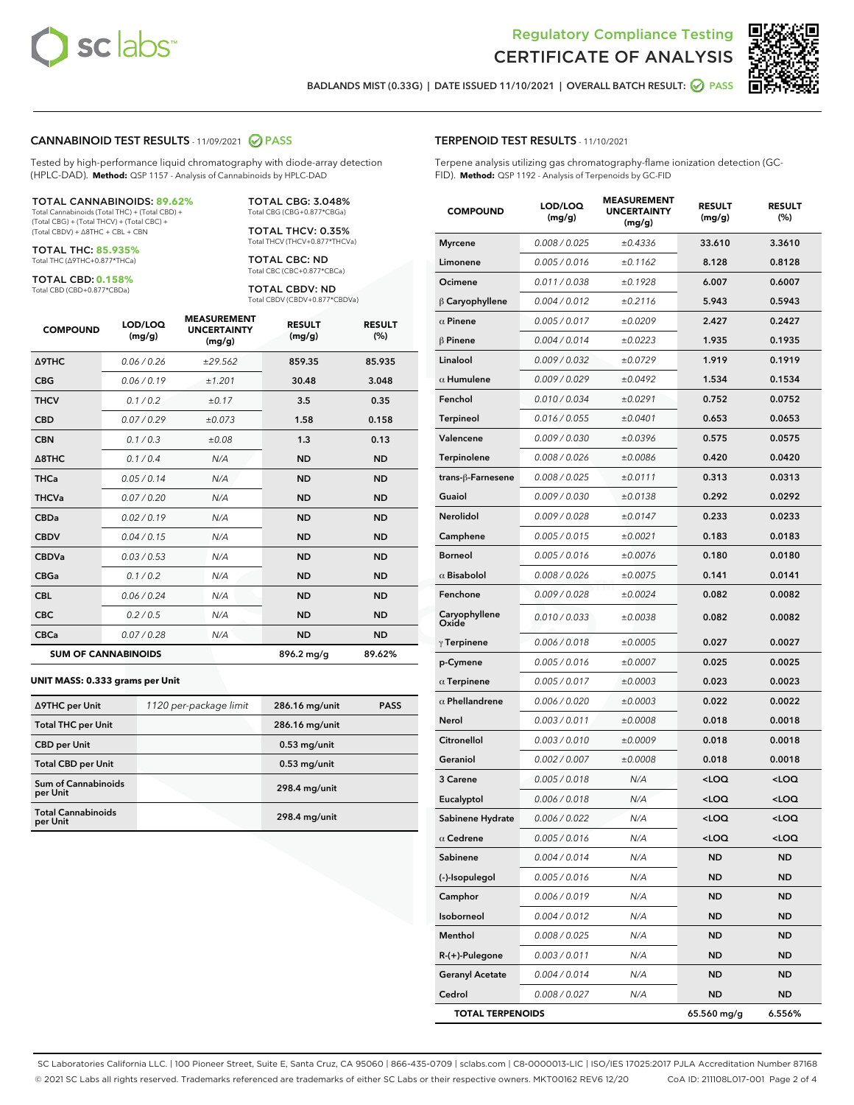



BADLANDS MIST (0.33G) | DATE ISSUED 11/10/2021 | OVERALL BATCH RESULT: 2 PASS

#### CANNABINOID TEST RESULTS - 11/09/2021 2 PASS

Tested by high-performance liquid chromatography with diode-array detection (HPLC-DAD). **Method:** QSP 1157 - Analysis of Cannabinoids by HPLC-DAD

#### TOTAL CANNABINOIDS: **89.62%**

Total Cannabinoids (Total THC) + (Total CBD) + (Total CBG) + (Total THCV) + (Total CBC) + (Total CBDV) + ∆8THC + CBL + CBN

TOTAL THC: **85.935%** Total THC (∆9THC+0.877\*THCa)

TOTAL CBD: **0.158%** Total CBD (CBD+0.877\*CBDa)

TOTAL THCV: 0.35% Total THCV (THCV+0.877\*THCVa)

> TOTAL CBC: ND Total CBC (CBC+0.877\*CBCa)

TOTAL CBG: 3.048% Total CBG (CBG+0.877\*CBGa)

TOTAL CBDV: ND Total CBDV (CBDV+0.877\*CBDVa)

| <b>COMPOUND</b>            | LOD/LOQ<br>(mg/g) | <b>MEASUREMENT</b><br><b>UNCERTAINTY</b><br>(mg/g) | <b>RESULT</b><br>(mg/g) | <b>RESULT</b><br>(%) |
|----------------------------|-------------------|----------------------------------------------------|-------------------------|----------------------|
| <b>A9THC</b>               | 0.06 / 0.26       | ±29.562                                            | 859.35                  | 85.935               |
| <b>CBG</b>                 | 0.06/0.19         | ±1.201                                             | 30.48                   | 3.048                |
| <b>THCV</b>                | 0.1 / 0.2         | ±0.17                                              | 3.5                     | 0.35                 |
| <b>CBD</b>                 | 0.07/0.29         | ±0.073                                             | 1.58                    | 0.158                |
| <b>CBN</b>                 | 0.1/0.3           | ±0.08                                              | 1.3                     | 0.13                 |
| $\triangle$ 8THC           | 0.1/0.4           | N/A                                                | <b>ND</b>               | <b>ND</b>            |
| <b>THCa</b>                | 0.05/0.14         | N/A                                                | <b>ND</b>               | <b>ND</b>            |
| <b>THCVa</b>               | 0.07/0.20         | N/A                                                | <b>ND</b>               | <b>ND</b>            |
| <b>CBDa</b>                | 0.02/0.19         | N/A                                                | <b>ND</b>               | <b>ND</b>            |
| <b>CBDV</b>                | 0.04/0.15         | N/A                                                | <b>ND</b>               | <b>ND</b>            |
| <b>CBDVa</b>               | 0.03/0.53         | N/A                                                | <b>ND</b>               | <b>ND</b>            |
| <b>CBGa</b>                | 0.1/0.2           | N/A                                                | <b>ND</b>               | <b>ND</b>            |
| <b>CBL</b>                 | 0.06 / 0.24       | N/A                                                | <b>ND</b>               | <b>ND</b>            |
| <b>CBC</b>                 | 0.2 / 0.5         | N/A                                                | <b>ND</b>               | <b>ND</b>            |
| <b>CBCa</b>                | 0.07/0.28         | N/A                                                | <b>ND</b>               | <b>ND</b>            |
| <b>SUM OF CANNABINOIDS</b> |                   |                                                    | 896.2 mg/g              | 89.62%               |

#### **UNIT MASS: 0.333 grams per Unit**

| ∆9THC per Unit                         | 1120 per-package limit | 286.16 mg/unit  | <b>PASS</b> |
|----------------------------------------|------------------------|-----------------|-------------|
| <b>Total THC per Unit</b>              |                        | 286.16 mg/unit  |             |
| <b>CBD</b> per Unit                    |                        | $0.53$ mg/unit  |             |
| <b>Total CBD per Unit</b>              |                        | $0.53$ mg/unit  |             |
| <b>Sum of Cannabinoids</b><br>per Unit |                        | 298.4 mg/unit   |             |
| <b>Total Cannabinoids</b><br>per Unit  |                        | $298.4$ mg/unit |             |

# TERPENOID TEST RESULTS - 11/10/2021

Terpene analysis utilizing gas chromatography-flame ionization detection (GC-FID). **Method:** QSP 1192 - Analysis of Terpenoids by GC-FID

| <b>COMPOUND</b>         | LOD/LOQ<br>(mg/g) | <b>MEASUREMENT</b><br><b>UNCERTAINTY</b><br>(mg/g) | <b>RESULT</b><br>(mg/g)                         | <b>RESULT</b><br>(%) |
|-------------------------|-------------------|----------------------------------------------------|-------------------------------------------------|----------------------|
| <b>Myrcene</b>          | 0.008 / 0.025     | ±0.4336                                            | 33.610                                          | 3.3610               |
| Limonene                | 0.005 / 0.016     | ±0.1162                                            | 8.128                                           | 0.8128               |
| Ocimene                 | 0.011 / 0.038     | ±0.1928                                            | 6.007                                           | 0.6007               |
| $\upbeta$ Caryophyllene | 0.004 / 0.012     | ±0.2116                                            | 5.943                                           | 0.5943               |
| $\alpha$ Pinene         | 0.005 / 0.017     | ±0.0209                                            | 2.427                                           | 0.2427               |
| $\beta$ Pinene          | 0.004 / 0.014     | ±0.0223                                            | 1.935                                           | 0.1935               |
| Linalool                | 0.009 / 0.032     | ±0.0729                                            | 1.919                                           | 0.1919               |
| $\alpha$ Humulene       | 0.009/0.029       | ±0.0492                                            | 1.534                                           | 0.1534               |
| Fenchol                 | 0.010 / 0.034     | ±0.0291                                            | 0.752                                           | 0.0752               |
| <b>Terpineol</b>        | 0.016 / 0.055     | ±0.0401                                            | 0.653                                           | 0.0653               |
| Valencene               | 0.009 / 0.030     | ±0.0396                                            | 0.575                                           | 0.0575               |
| Terpinolene             | 0.008 / 0.026     | ±0.0086                                            | 0.420                                           | 0.0420               |
| trans-ß-Farnesene       | 0.008 / 0.025     | ±0.0111                                            | 0.313                                           | 0.0313               |
| Guaiol                  | 0.009 / 0.030     | ±0.0138                                            | 0.292                                           | 0.0292               |
| Nerolidol               | 0.009 / 0.028     | ±0.0147                                            | 0.233                                           | 0.0233               |
| Camphene                | 0.005 / 0.015     | ±0.0021                                            | 0.183                                           | 0.0183               |
| <b>Borneol</b>          | 0.005 / 0.016     | ±0.0076                                            | 0.180                                           | 0.0180               |
| $\alpha$ Bisabolol      | 0.008 / 0.026     | ±0.0075                                            | 0.141                                           | 0.0141               |
| Fenchone                | 0.009 / 0.028     | ±0.0024                                            | 0.082                                           | 0.0082               |
| Caryophyllene<br>Oxide  | 0.010 / 0.033     | ±0.0038                                            | 0.082                                           | 0.0082               |
| $\gamma$ Terpinene      | 0.006 / 0.018     | ±0.0005                                            | 0.027                                           | 0.0027               |
| p-Cymene                | 0.005 / 0.016     | ±0.0007                                            | 0.025                                           | 0.0025               |
| $\alpha$ Terpinene      | 0.005 / 0.017     | ±0.0003                                            | 0.023                                           | 0.0023               |
| $\alpha$ Phellandrene   | 0.006 / 0.020     | ±0.0003                                            | 0.022                                           | 0.0022               |
| Nerol                   | 0.003 / 0.011     | ±0.0008                                            | 0.018                                           | 0.0018               |
| Citronellol             | 0.003 / 0.010     | ±0.0009                                            | 0.018                                           | 0.0018               |
| Geraniol                | 0.002 / 0.007     | ±0.0008                                            | 0.018                                           | 0.0018               |
| 3 Carene                | 0.005 / 0.018     | N/A                                                | <loq< th=""><th><loq< th=""></loq<></th></loq<> | <loq< th=""></loq<>  |
| Eucalyptol              | 0.006 / 0.018     | N/A                                                | <loq< th=""><th><loq< th=""></loq<></th></loq<> | <loq< th=""></loq<>  |
| Sabinene Hydrate        | 0.006 / 0.022     | N/A                                                | <loq< th=""><th><loq< th=""></loq<></th></loq<> | <loq< th=""></loq<>  |
| $\alpha$ Cedrene        | 0.005 / 0.016     | N/A                                                | <loq< th=""><th><loq< th=""></loq<></th></loq<> | <loq< th=""></loq<>  |
| Sabinene                | 0.004 / 0.014     | N/A                                                | <b>ND</b>                                       | ND                   |
| (-)-Isopulegol          | 0.005 / 0.016     | N/A                                                | <b>ND</b>                                       | <b>ND</b>            |
| Camphor                 | 0.006 / 0.019     | N/A                                                | <b>ND</b>                                       | ND                   |
| Isoborneol              | 0.004 / 0.012     | N/A                                                | ND                                              | ND                   |
| Menthol                 | 0.008 / 0.025     | N/A                                                | ND                                              | <b>ND</b>            |
| R-(+)-Pulegone          | 0.003 / 0.011     | N/A                                                | <b>ND</b>                                       | ND                   |
| <b>Geranyl Acetate</b>  | 0.004 / 0.014     | N/A                                                | ND                                              | ND                   |
| Cedrol                  | 0.008 / 0.027     | N/A                                                | <b>ND</b>                                       | ND                   |
| <b>TOTAL TERPENOIDS</b> |                   |                                                    | 65.560 mg/g                                     | 6.556%               |

SC Laboratories California LLC. | 100 Pioneer Street, Suite E, Santa Cruz, CA 95060 | 866-435-0709 | sclabs.com | C8-0000013-LIC | ISO/IES 17025:2017 PJLA Accreditation Number 87168 © 2021 SC Labs all rights reserved. Trademarks referenced are trademarks of either SC Labs or their respective owners. MKT00162 REV6 12/20 CoA ID: 211108L017-001 Page 2 of 4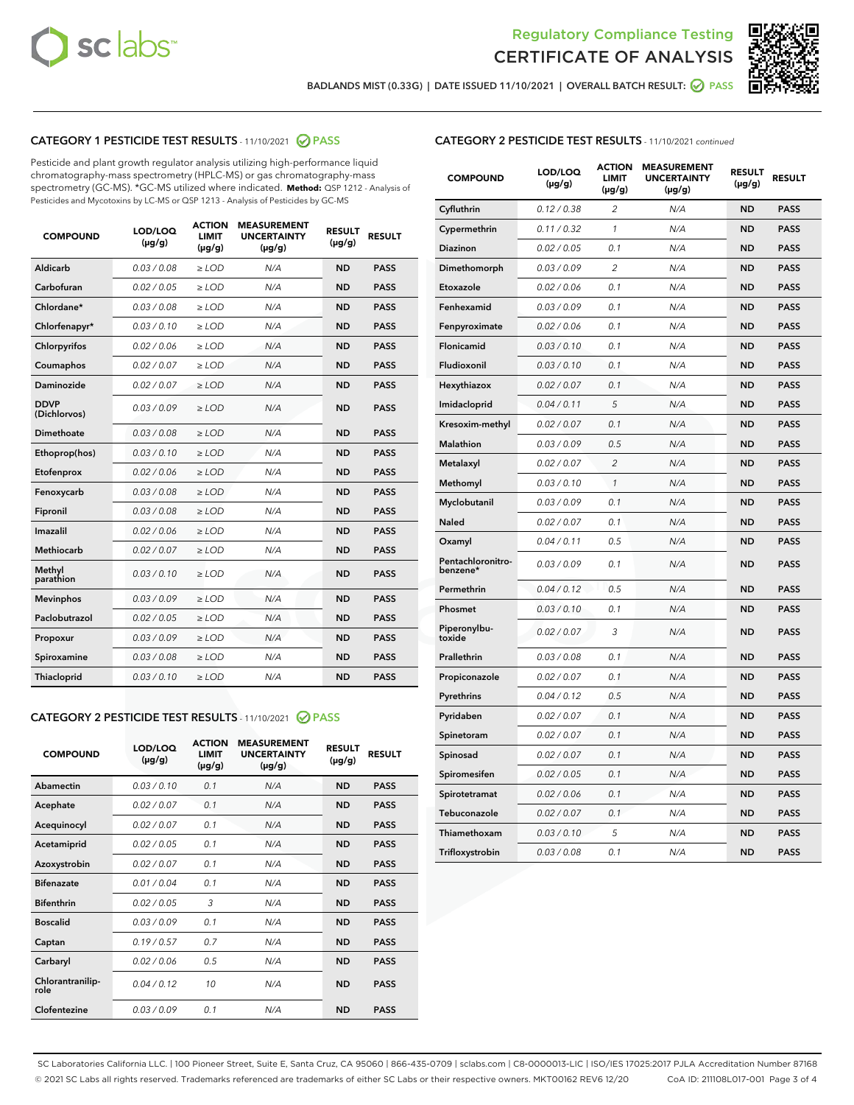



BADLANDS MIST (0.33G) | DATE ISSUED 11/10/2021 | OVERALL BATCH RESULT: @ PASS

# CATEGORY 1 PESTICIDE TEST RESULTS - 11/10/2021 2 PASS

Pesticide and plant growth regulator analysis utilizing high-performance liquid chromatography-mass spectrometry (HPLC-MS) or gas chromatography-mass spectrometry (GC-MS). \*GC-MS utilized where indicated. **Method:** QSP 1212 - Analysis of Pesticides and Mycotoxins by LC-MS or QSP 1213 - Analysis of Pesticides by GC-MS

| 0.03 / 0.08<br><b>ND</b><br><b>PASS</b><br>Aldicarb<br>$\ge$ LOD<br>N/A<br>Carbofuran<br>0.02 / 0.05<br>$\geq$ LOD<br>N/A<br><b>ND</b><br><b>PASS</b><br>Chlordane*<br>0.03 / 0.08<br>$\ge$ LOD<br>N/A<br><b>ND</b><br><b>PASS</b><br>Chlorfenapyr*<br>0.03/0.10<br>$\geq$ LOD<br>N/A<br><b>ND</b><br><b>PASS</b><br>Chlorpyrifos<br>0.02 / 0.06<br>N/A<br><b>ND</b><br><b>PASS</b><br>$\ge$ LOD<br>Coumaphos<br>0.02 / 0.07<br>N/A<br><b>ND</b><br><b>PASS</b><br>$\ge$ LOD<br>Daminozide<br>0.02 / 0.07<br>N/A<br><b>ND</b><br><b>PASS</b><br>$\ge$ LOD<br><b>DDVP</b><br>0.03/0.09<br>$>$ LOD<br>N/A<br><b>ND</b><br><b>PASS</b><br>(Dichlorvos)<br>Dimethoate<br>0.03 / 0.08<br>$\ge$ LOD<br><b>ND</b><br><b>PASS</b><br>N/A<br>0.03/0.10<br>N/A<br><b>ND</b><br><b>PASS</b><br>Ethoprop(hos)<br>$>$ LOD<br>0.02 / 0.06<br>N/A<br><b>ND</b><br><b>PASS</b><br>$\ge$ LOD<br>Etofenprox<br>Fenoxycarb<br>0.03 / 0.08<br>$\ge$ LOD<br>N/A<br><b>ND</b><br><b>PASS</b><br>0.03 / 0.08<br>$\ge$ LOD<br>N/A<br><b>ND</b><br><b>PASS</b><br>Fipronil<br>Imazalil<br>0.02 / 0.06<br>$>$ LOD<br>N/A<br><b>ND</b><br><b>PASS</b><br><b>Methiocarb</b><br>0.02 / 0.07<br>$\ge$ LOD<br>N/A<br><b>ND</b><br><b>PASS</b><br>Methyl<br>0.03/0.10<br>N/A<br><b>ND</b><br><b>PASS</b><br>$\ge$ LOD<br>parathion<br>0.03/0.09<br><b>Mevinphos</b><br>$\ge$ LOD<br>N/A<br><b>ND</b><br><b>PASS</b><br>Paclobutrazol<br>0.02 / 0.05<br>$>$ LOD<br>N/A<br><b>ND</b><br><b>PASS</b><br>0.03/0.09<br>N/A<br>$\ge$ LOD<br><b>ND</b><br><b>PASS</b><br>Propoxur<br>0.03 / 0.08<br><b>ND</b><br><b>PASS</b><br>Spiroxamine<br>$\ge$ LOD<br>N/A<br>Thiacloprid<br>0.03/0.10<br>$\ge$ LOD<br>N/A<br><b>ND</b><br><b>PASS</b> | <b>COMPOUND</b> | LOD/LOQ<br>$(\mu g/g)$ | <b>ACTION</b><br><b>LIMIT</b><br>$(\mu g/g)$ | <b>MEASUREMENT</b><br><b>UNCERTAINTY</b><br>$(\mu g/g)$ | <b>RESULT</b><br>$(\mu g/g)$ | <b>RESULT</b> |
|------------------------------------------------------------------------------------------------------------------------------------------------------------------------------------------------------------------------------------------------------------------------------------------------------------------------------------------------------------------------------------------------------------------------------------------------------------------------------------------------------------------------------------------------------------------------------------------------------------------------------------------------------------------------------------------------------------------------------------------------------------------------------------------------------------------------------------------------------------------------------------------------------------------------------------------------------------------------------------------------------------------------------------------------------------------------------------------------------------------------------------------------------------------------------------------------------------------------------------------------------------------------------------------------------------------------------------------------------------------------------------------------------------------------------------------------------------------------------------------------------------------------------------------------------------------------------------------------------------------------------------------------------------------------------------------------------|-----------------|------------------------|----------------------------------------------|---------------------------------------------------------|------------------------------|---------------|
|                                                                                                                                                                                                                                                                                                                                                                                                                                                                                                                                                                                                                                                                                                                                                                                                                                                                                                                                                                                                                                                                                                                                                                                                                                                                                                                                                                                                                                                                                                                                                                                                                                                                                                      |                 |                        |                                              |                                                         |                              |               |
|                                                                                                                                                                                                                                                                                                                                                                                                                                                                                                                                                                                                                                                                                                                                                                                                                                                                                                                                                                                                                                                                                                                                                                                                                                                                                                                                                                                                                                                                                                                                                                                                                                                                                                      |                 |                        |                                              |                                                         |                              |               |
|                                                                                                                                                                                                                                                                                                                                                                                                                                                                                                                                                                                                                                                                                                                                                                                                                                                                                                                                                                                                                                                                                                                                                                                                                                                                                                                                                                                                                                                                                                                                                                                                                                                                                                      |                 |                        |                                              |                                                         |                              |               |
|                                                                                                                                                                                                                                                                                                                                                                                                                                                                                                                                                                                                                                                                                                                                                                                                                                                                                                                                                                                                                                                                                                                                                                                                                                                                                                                                                                                                                                                                                                                                                                                                                                                                                                      |                 |                        |                                              |                                                         |                              |               |
|                                                                                                                                                                                                                                                                                                                                                                                                                                                                                                                                                                                                                                                                                                                                                                                                                                                                                                                                                                                                                                                                                                                                                                                                                                                                                                                                                                                                                                                                                                                                                                                                                                                                                                      |                 |                        |                                              |                                                         |                              |               |
|                                                                                                                                                                                                                                                                                                                                                                                                                                                                                                                                                                                                                                                                                                                                                                                                                                                                                                                                                                                                                                                                                                                                                                                                                                                                                                                                                                                                                                                                                                                                                                                                                                                                                                      |                 |                        |                                              |                                                         |                              |               |
|                                                                                                                                                                                                                                                                                                                                                                                                                                                                                                                                                                                                                                                                                                                                                                                                                                                                                                                                                                                                                                                                                                                                                                                                                                                                                                                                                                                                                                                                                                                                                                                                                                                                                                      |                 |                        |                                              |                                                         |                              |               |
|                                                                                                                                                                                                                                                                                                                                                                                                                                                                                                                                                                                                                                                                                                                                                                                                                                                                                                                                                                                                                                                                                                                                                                                                                                                                                                                                                                                                                                                                                                                                                                                                                                                                                                      |                 |                        |                                              |                                                         |                              |               |
|                                                                                                                                                                                                                                                                                                                                                                                                                                                                                                                                                                                                                                                                                                                                                                                                                                                                                                                                                                                                                                                                                                                                                                                                                                                                                                                                                                                                                                                                                                                                                                                                                                                                                                      |                 |                        |                                              |                                                         |                              |               |
|                                                                                                                                                                                                                                                                                                                                                                                                                                                                                                                                                                                                                                                                                                                                                                                                                                                                                                                                                                                                                                                                                                                                                                                                                                                                                                                                                                                                                                                                                                                                                                                                                                                                                                      |                 |                        |                                              |                                                         |                              |               |
|                                                                                                                                                                                                                                                                                                                                                                                                                                                                                                                                                                                                                                                                                                                                                                                                                                                                                                                                                                                                                                                                                                                                                                                                                                                                                                                                                                                                                                                                                                                                                                                                                                                                                                      |                 |                        |                                              |                                                         |                              |               |
|                                                                                                                                                                                                                                                                                                                                                                                                                                                                                                                                                                                                                                                                                                                                                                                                                                                                                                                                                                                                                                                                                                                                                                                                                                                                                                                                                                                                                                                                                                                                                                                                                                                                                                      |                 |                        |                                              |                                                         |                              |               |
|                                                                                                                                                                                                                                                                                                                                                                                                                                                                                                                                                                                                                                                                                                                                                                                                                                                                                                                                                                                                                                                                                                                                                                                                                                                                                                                                                                                                                                                                                                                                                                                                                                                                                                      |                 |                        |                                              |                                                         |                              |               |
|                                                                                                                                                                                                                                                                                                                                                                                                                                                                                                                                                                                                                                                                                                                                                                                                                                                                                                                                                                                                                                                                                                                                                                                                                                                                                                                                                                                                                                                                                                                                                                                                                                                                                                      |                 |                        |                                              |                                                         |                              |               |
|                                                                                                                                                                                                                                                                                                                                                                                                                                                                                                                                                                                                                                                                                                                                                                                                                                                                                                                                                                                                                                                                                                                                                                                                                                                                                                                                                                                                                                                                                                                                                                                                                                                                                                      |                 |                        |                                              |                                                         |                              |               |
|                                                                                                                                                                                                                                                                                                                                                                                                                                                                                                                                                                                                                                                                                                                                                                                                                                                                                                                                                                                                                                                                                                                                                                                                                                                                                                                                                                                                                                                                                                                                                                                                                                                                                                      |                 |                        |                                              |                                                         |                              |               |
|                                                                                                                                                                                                                                                                                                                                                                                                                                                                                                                                                                                                                                                                                                                                                                                                                                                                                                                                                                                                                                                                                                                                                                                                                                                                                                                                                                                                                                                                                                                                                                                                                                                                                                      |                 |                        |                                              |                                                         |                              |               |
|                                                                                                                                                                                                                                                                                                                                                                                                                                                                                                                                                                                                                                                                                                                                                                                                                                                                                                                                                                                                                                                                                                                                                                                                                                                                                                                                                                                                                                                                                                                                                                                                                                                                                                      |                 |                        |                                              |                                                         |                              |               |
|                                                                                                                                                                                                                                                                                                                                                                                                                                                                                                                                                                                                                                                                                                                                                                                                                                                                                                                                                                                                                                                                                                                                                                                                                                                                                                                                                                                                                                                                                                                                                                                                                                                                                                      |                 |                        |                                              |                                                         |                              |               |
|                                                                                                                                                                                                                                                                                                                                                                                                                                                                                                                                                                                                                                                                                                                                                                                                                                                                                                                                                                                                                                                                                                                                                                                                                                                                                                                                                                                                                                                                                                                                                                                                                                                                                                      |                 |                        |                                              |                                                         |                              |               |
|                                                                                                                                                                                                                                                                                                                                                                                                                                                                                                                                                                                                                                                                                                                                                                                                                                                                                                                                                                                                                                                                                                                                                                                                                                                                                                                                                                                                                                                                                                                                                                                                                                                                                                      |                 |                        |                                              |                                                         |                              |               |

#### CATEGORY 2 PESTICIDE TEST RESULTS - 11/10/2021 @ PASS

| <b>COMPOUND</b>          | LOD/LOO<br>$(\mu g/g)$ | <b>ACTION</b><br>LIMIT<br>$(\mu g/g)$ | <b>MEASUREMENT</b><br><b>UNCERTAINTY</b><br>$(\mu g/g)$ | <b>RESULT</b><br>$(\mu g/g)$ | <b>RESULT</b> |  |
|--------------------------|------------------------|---------------------------------------|---------------------------------------------------------|------------------------------|---------------|--|
| Abamectin                | 0.03/0.10              | 0.1                                   | N/A                                                     | <b>ND</b>                    | <b>PASS</b>   |  |
| Acephate                 | 0.02/0.07              | 0.1                                   | N/A                                                     | <b>ND</b>                    | <b>PASS</b>   |  |
| Acequinocyl              | 0.02/0.07              | 0.1                                   | N/A                                                     | <b>ND</b>                    | <b>PASS</b>   |  |
| Acetamiprid              | 0.02 / 0.05            | 0.1                                   | N/A                                                     | <b>ND</b>                    | <b>PASS</b>   |  |
| Azoxystrobin             | 0.02/0.07              | 0.1                                   | N/A                                                     | <b>ND</b>                    | <b>PASS</b>   |  |
| <b>Bifenazate</b>        | 0.01 / 0.04            | 0.1                                   | N/A                                                     | <b>ND</b>                    | <b>PASS</b>   |  |
| <b>Bifenthrin</b>        | 0.02 / 0.05            | 3                                     | N/A                                                     | <b>ND</b>                    | <b>PASS</b>   |  |
| <b>Boscalid</b>          | 0.03/0.09              | 0.1                                   | N/A                                                     | <b>ND</b>                    | <b>PASS</b>   |  |
| Captan                   | 0.19/0.57              | 0.7                                   | N/A                                                     | <b>ND</b>                    | <b>PASS</b>   |  |
| Carbaryl                 | 0.02/0.06              | 0.5                                   | N/A                                                     | <b>ND</b>                    | <b>PASS</b>   |  |
| Chlorantranilip-<br>role | 0.04/0.12              | 10                                    | N/A                                                     | <b>ND</b>                    | <b>PASS</b>   |  |
| Clofentezine             | 0.03/0.09              | 0.1                                   | N/A                                                     | <b>ND</b>                    | <b>PASS</b>   |  |

| <b>CATEGORY 2 PESTICIDE TEST RESULTS</b> - 11/10/2021 continued |  |  |
|-----------------------------------------------------------------|--|--|
|                                                                 |  |  |

| <b>COMPOUND</b>               | LOD/LOQ<br>(µg/g) | <b>ACTION</b><br>LIMIT<br>$(\mu g/g)$ | <b>MEASUREMENT</b><br><b>UNCERTAINTY</b><br>$(\mu g/g)$ | <b>RESULT</b><br>(µg/g) | <b>RESULT</b> |
|-------------------------------|-------------------|---------------------------------------|---------------------------------------------------------|-------------------------|---------------|
| Cyfluthrin                    | 0.12 / 0.38       | $\overline{c}$                        | N/A                                                     | <b>ND</b>               | <b>PASS</b>   |
| Cypermethrin                  | 0.11 / 0.32       | $\mathcal{I}$                         | N/A                                                     | <b>ND</b>               | <b>PASS</b>   |
| Diazinon                      | 0.02 / 0.05       | 0.1                                   | N/A                                                     | <b>ND</b>               | <b>PASS</b>   |
| Dimethomorph                  | 0.03 / 0.09       | $\overline{c}$                        | N/A                                                     | <b>ND</b>               | <b>PASS</b>   |
| Etoxazole                     | 0.02 / 0.06       | 0.1                                   | N/A                                                     | <b>ND</b>               | <b>PASS</b>   |
| Fenhexamid                    | 0.03 / 0.09       | 0.1                                   | N/A                                                     | <b>ND</b>               | <b>PASS</b>   |
| Fenpyroximate                 | 0.02 / 0.06       | 0.1                                   | N/A                                                     | <b>ND</b>               | <b>PASS</b>   |
| Flonicamid                    | 0.03 / 0.10       | 0.1                                   | N/A                                                     | <b>ND</b>               | <b>PASS</b>   |
| Fludioxonil                   | 0.03 / 0.10       | 0.1                                   | N/A                                                     | <b>ND</b>               | <b>PASS</b>   |
| Hexythiazox                   | 0.02 / 0.07       | 0.1                                   | N/A                                                     | <b>ND</b>               | <b>PASS</b>   |
| Imidacloprid                  | 0.04 / 0.11       | 5                                     | N/A                                                     | <b>ND</b>               | <b>PASS</b>   |
| Kresoxim-methyl               | 0.02 / 0.07       | 0.1                                   | N/A                                                     | <b>ND</b>               | <b>PASS</b>   |
| Malathion                     | 0.03 / 0.09       | 0.5                                   | N/A                                                     | <b>ND</b>               | <b>PASS</b>   |
| Metalaxyl                     | 0.02 / 0.07       | $\overline{2}$                        | N/A                                                     | <b>ND</b>               | <b>PASS</b>   |
| Methomyl                      | 0.03 / 0.10       | 1                                     | N/A                                                     | <b>ND</b>               | <b>PASS</b>   |
| Myclobutanil                  | 0.03 / 0.09       | 0.1                                   | N/A                                                     | <b>ND</b>               | <b>PASS</b>   |
| Naled                         | 0.02 / 0.07       | 0.1                                   | N/A                                                     | <b>ND</b>               | <b>PASS</b>   |
| Oxamyl                        | 0.04 / 0.11       | 0.5                                   | N/A                                                     | <b>ND</b>               | <b>PASS</b>   |
| Pentachloronitro-<br>benzene* | 0.03 / 0.09       | 0.1                                   | N/A                                                     | <b>ND</b>               | <b>PASS</b>   |
| Permethrin                    | 0.04 / 0.12       | 0.5                                   | N/A                                                     | <b>ND</b>               | <b>PASS</b>   |
| Phosmet                       | 0.03 / 0.10       | 0.1                                   | N/A                                                     | <b>ND</b>               | <b>PASS</b>   |
| Piperonylbu-<br>toxide        | 0.02 / 0.07       | 3                                     | N/A                                                     | <b>ND</b>               | <b>PASS</b>   |
| Prallethrin                   | 0.03 / 0.08       | 0.1                                   | N/A                                                     | <b>ND</b>               | <b>PASS</b>   |
| Propiconazole                 | 0.02 / 0.07       | 0.1                                   | N/A                                                     | <b>ND</b>               | <b>PASS</b>   |
| Pyrethrins                    | 0.04 / 0.12       | 0.5                                   | N/A                                                     | <b>ND</b>               | <b>PASS</b>   |
| Pyridaben                     | 0.02 / 0.07       | 0.1                                   | N/A                                                     | <b>ND</b>               | <b>PASS</b>   |
| Spinetoram                    | 0.02 / 0.07       | 0.1                                   | N/A                                                     | <b>ND</b>               | <b>PASS</b>   |
| Spinosad                      | 0.02 / 0.07       | 0.1                                   | N/A                                                     | <b>ND</b>               | <b>PASS</b>   |
| Spiromesifen                  | 0.02 / 0.05       | 0.1                                   | N/A                                                     | <b>ND</b>               | <b>PASS</b>   |
| Spirotetramat                 | 0.02 / 0.06       | 0.1                                   | N/A                                                     | <b>ND</b>               | <b>PASS</b>   |
| Tebuconazole                  | 0.02 / 0.07       | 0.1                                   | N/A                                                     | <b>ND</b>               | <b>PASS</b>   |
| Thiamethoxam                  | 0.03 / 0.10       | 5                                     | N/A                                                     | <b>ND</b>               | <b>PASS</b>   |
| Trifloxystrobin               | 0.03 / 0.08       | 0.1                                   | N/A                                                     | <b>ND</b>               | <b>PASS</b>   |

SC Laboratories California LLC. | 100 Pioneer Street, Suite E, Santa Cruz, CA 95060 | 866-435-0709 | sclabs.com | C8-0000013-LIC | ISO/IES 17025:2017 PJLA Accreditation Number 87168 © 2021 SC Labs all rights reserved. Trademarks referenced are trademarks of either SC Labs or their respective owners. MKT00162 REV6 12/20 CoA ID: 211108L017-001 Page 3 of 4